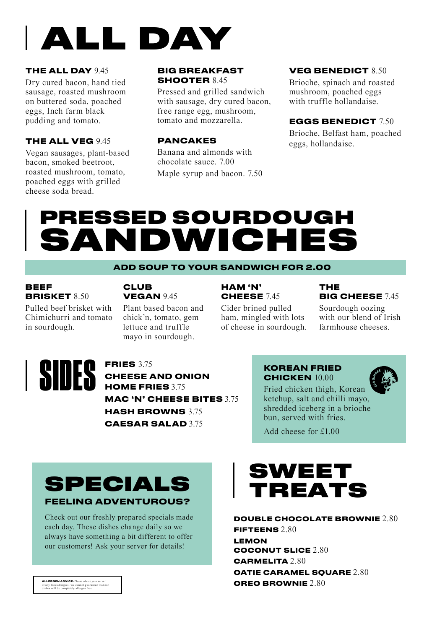

#### **THE ALL DAY** 9.45

Dry cured bacon, hand tied sausage, roasted mushroom on buttered soda, poached eggs, Inch farm black pudding and tomato.

#### **THE ALL VEG** 945

Vegan sausages, plant-based bacon, smoked beetroot, roasted mushroom, tomato, poached eggs with grilled cheese soda bread.

#### **BIG BREAKFAST SHOOTER** 8.45

Pressed and grilled sandwich with sausage, dry cured bacon, free range egg, mushroom, tomato and mozzarella.

#### **PANCAKES**

Banana and almonds with chocolate sauce. 7.00 Maple syrup and bacon. 7.50

#### **VEG BENEDICT** 8.50

Brioche, spinach and roasted mushroom, poached eggs with truffle hollandaise.

#### **EGGS BENEDICT** 7.50

Brioche, Belfast ham, poached eggs, hollandaise.

# PRESSED SOURDOUGH **ANDWICHE**

#### **ADD SOUP TO YOUR SANDWICH FOR 2.00**

#### **BEEF BRISKET** 8.50

#### **CLUB VEGAN** 945

Pulled beef brisket with Chimichurri and tomato in sourdough.

#### Plant based bacon and chick'n, tomato, gem lettuce and truffle mayo in sourdough.

#### **HAM 'N' CHEESE** 7.45

Cider brined pulled ham, mingled with lots of cheese in sourdough.

#### **THE BIG CHEESE** 7.45

Sourdough oozing with our blend of Irish farmhouse cheeses.



**CHEESE AND ONION HOME FRIES** 3.75 **MAC 'N' CHEESE BITES** 3.75 **HASH BROWNS** 3.75 **CAESAR SALAD** 3.75

#### **KOREAN FRIED CHICKEN** 10.00

Fried chicken thigh, Korean ketchup, salt and chilli mayo, shredded iceberg in a brioche bun, served with fries.

Add cheese for £1.00

## SPECIALS **FEELING ADVENTUROUS?**

Check out our freshly prepared specials made each day. These dishes change daily so we always have something a bit different to offer our customers! Ask your server for details!



### **DOUBLE CHOCOLATE BROWNIE** 2.80

**FIFTEENS** 2.80 **LEMON COCONUT SLICE** 2.80 **CARMELITA** 2.80 **OATIE CARAMEL SQUARE** 2.80 **OREO BROWNIE** 2.80